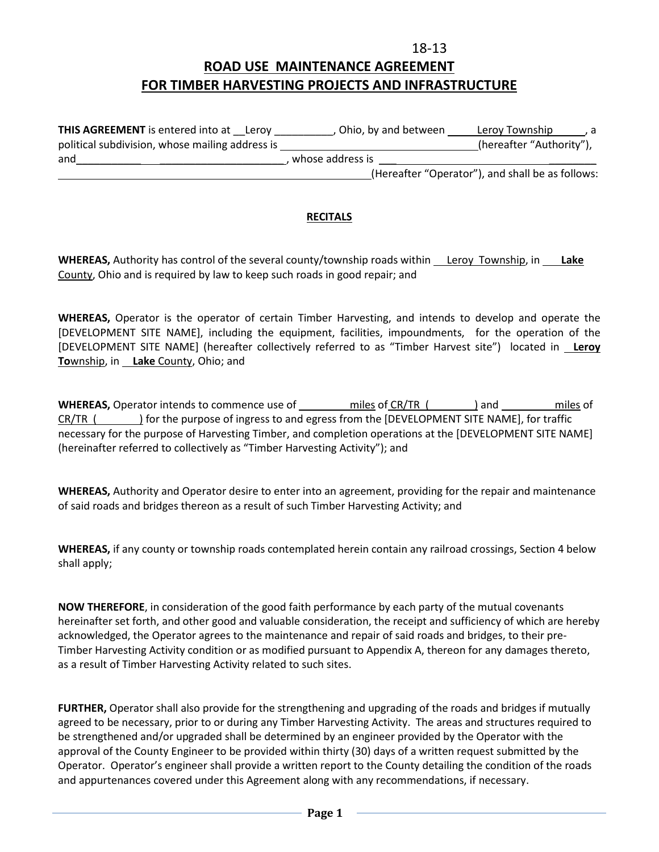## **18-13 ROAD USE MAINTENANCE AGREEMENT FOR TIMBER HARVESTING PROJECTS AND INFRASTRUCTURE**

| <b>THIS AGREEMENT</b> is entered into at Leroy  | Ohio, by and between | Leroy Township                                   |
|-------------------------------------------------|----------------------|--------------------------------------------------|
| political subdivision, whose mailing address is |                      | (hereafter "Authority"),                         |
| and                                             | whose address is     |                                                  |
|                                                 |                      | (Hereafter "Operator"), and shall be as follows: |

## **RECITALS**

**WHEREAS,** Authority has control of the several county/township roads within Leroy Township, in **Lake**  County, Ohio and is required by law to keep such roads in good repair; and

**WHEREAS,** Operator is the operator of certain Timber Harvesting, and intends to develop and operate the [DEVELOPMENT SITE NAME], including the equipment, facilities, impoundments, for the operation of the [DEVELOPMENT SITE NAME] (hereafter collectively referred to as "Timber Harvest site") located in **Leroy To**wnship, in **Lake** County, Ohio; and

**WHEREAS,** Operator intends to commence use of miles of CR/TR ( ) and miles of CR/TR () for the purpose of ingress to and egress from the [DEVELOPMENT SITE NAME], for traffic necessary for the purpose of Harvesting Timber, and completion operations at the [DEVELOPMENT SITE NAME] (hereinafter referred to collectively as "Timber Harvesting Activity"); and

**WHEREAS,** Authority and Operator desire to enter into an agreement, providing for the repair and maintenance of said roads and bridges thereon as a result of such Timber Harvesting Activity; and

**WHEREAS,** if any county or township roads contemplated herein contain any railroad crossings, Section 4 below shall apply;

**NOW THEREFORE**, in consideration of the good faith performance by each party of the mutual covenants hereinafter set forth, and other good and valuable consideration, the receipt and sufficiency of which are hereby acknowledged, the Operator agrees to the maintenance and repair of said roads and bridges, to their pre-Timber Harvesting Activity condition or as modified pursuant to Appendix A, thereon for any damages thereto, as a result of Timber Harvesting Activity related to such sites.

**FURTHER,** Operator shall also provide for the strengthening and upgrading of the roads and bridges if mutually agreed to be necessary, prior to or during any Timber Harvesting Activity. The areas and structures required to be strengthened and/or upgraded shall be determined by an engineer provided by the Operator with the approval of the County Engineer to be provided within thirty (30) days of a written request submitted by the Operator. Operator's engineer shall provide a written report to the County detailing the condition of the roads and appurtenances covered under this Agreement along with any recommendations, if necessary.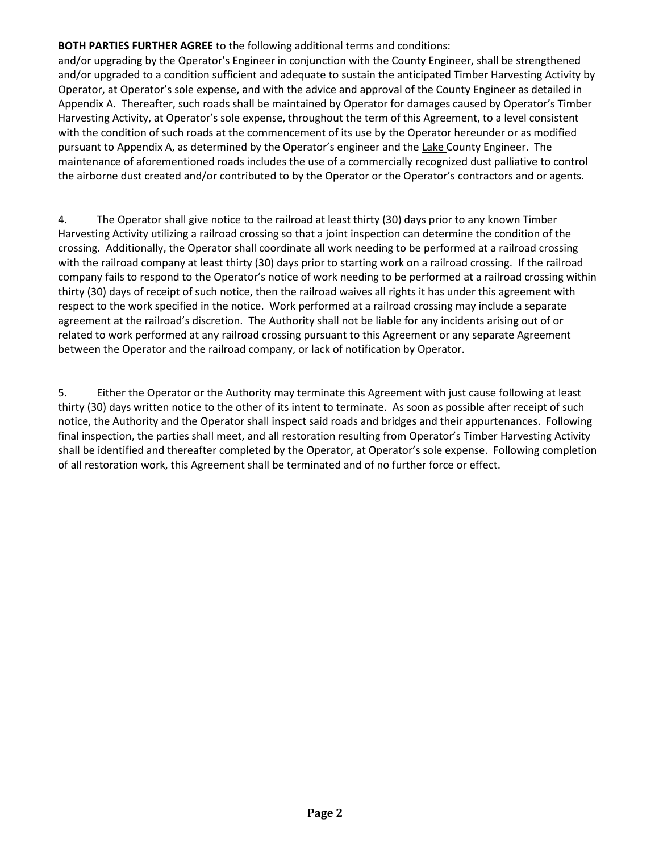## **BOTH PARTIES FURTHER AGREE** to the following additional terms and conditions:

and/or upgrading by the Operator's Engineer in conjunction with the County Engineer, shall be strengthened and/or upgraded to a condition sufficient and adequate to sustain the anticipated Timber Harvesting Activity by Operator, at Operator's sole expense, and with the advice and approval of the County Engineer as detailed in Appendix A. Thereafter, such roads shall be maintained by Operator for damages caused by Operator's Timber Harvesting Activity, at Operator's sole expense, throughout the term of this Agreement, to a level consistent with the condition of such roads at the commencement of its use by the Operator hereunder or as modified pursuant to Appendix A, as determined by the Operator's engineer and the Lake County Engineer. The maintenance of aforementioned roads includes the use of a commercially recognized dust palliative to control the airborne dust created and/or contributed to by the Operator or the Operator's contractors and or agents.

4. The Operator shall give notice to the railroad at least thirty (30) days prior to any known Timber Harvesting Activity utilizing a railroad crossing so that a joint inspection can determine the condition of the crossing. Additionally, the Operator shall coordinate all work needing to be performed at a railroad crossing with the railroad company at least thirty (30) days prior to starting work on a railroad crossing. If the railroad company fails to respond to the Operator's notice of work needing to be performed at a railroad crossing within thirty (30) days of receipt of such notice, then the railroad waives all rights it has under this agreement with respect to the work specified in the notice. Work performed at a railroad crossing may include a separate agreement at the railroad's discretion. The Authority shall not be liable for any incidents arising out of or related to work performed at any railroad crossing pursuant to this Agreement or any separate Agreement between the Operator and the railroad company, or lack of notification by Operator.

5. Either the Operator or the Authority may terminate this Agreement with just cause following at least thirty (30) days written notice to the other of its intent to terminate. As soon as possible after receipt of such notice, the Authority and the Operator shall inspect said roads and bridges and their appurtenances. Following final inspection, the parties shall meet, and all restoration resulting from Operator's Timber Harvesting Activity shall be identified and thereafter completed by the Operator, at Operator's sole expense. Following completion of all restoration work, this Agreement shall be terminated and of no further force or effect.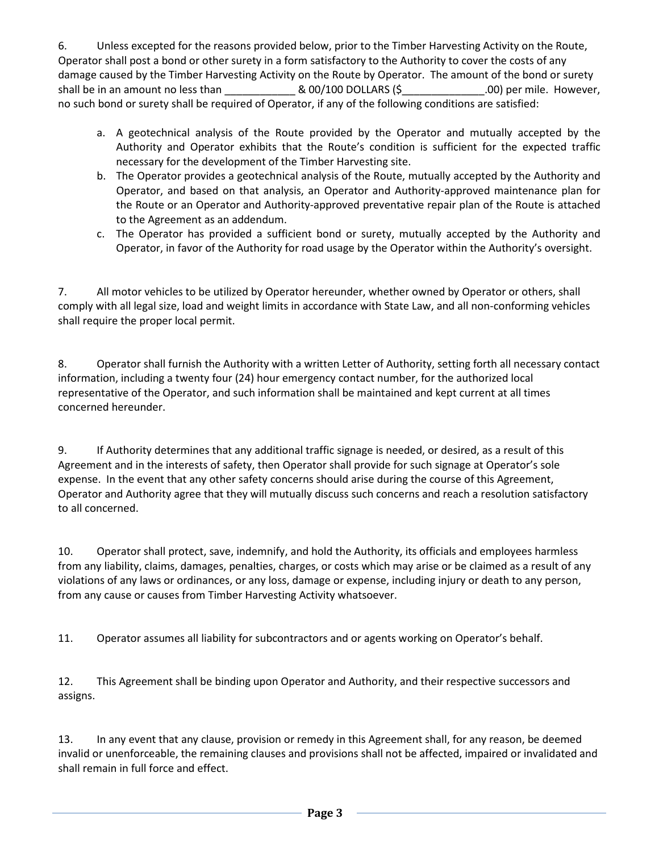6. Unless excepted for the reasons provided below, prior to the Timber Harvesting Activity on the Route, Operator shall post a bond or other surety in a form satisfactory to the Authority to cover the costs of any damage caused by the Timber Harvesting Activity on the Route by Operator. The amount of the bond or surety shall be in an amount no less than \_\_\_\_\_\_\_\_\_\_\_\_ & 00/100 DOLLARS (\$\_\_\_\_\_\_\_\_\_\_\_\_\_\_.00) per mile. However, no such bond or surety shall be required of Operator, if any of the following conditions are satisfied:

- a. A geotechnical analysis of the Route provided by the Operator and mutually accepted by the Authority and Operator exhibits that the Route's condition is sufficient for the expected traffic necessary for the development of the Timber Harvesting site.
- b. The Operator provides a geotechnical analysis of the Route, mutually accepted by the Authority and Operator, and based on that analysis, an Operator and Authority-approved maintenance plan for the Route or an Operator and Authority-approved preventative repair plan of the Route is attached to the Agreement as an addendum.
- c. The Operator has provided a sufficient bond or surety, mutually accepted by the Authority and Operator, in favor of the Authority for road usage by the Operator within the Authority's oversight.

7. All motor vehicles to be utilized by Operator hereunder, whether owned by Operator or others, shall comply with all legal size, load and weight limits in accordance with State Law, and all non-conforming vehicles shall require the proper local permit.

8. Operator shall furnish the Authority with a written Letter of Authority, setting forth all necessary contact information, including a twenty four (24) hour emergency contact number, for the authorized local representative of the Operator, and such information shall be maintained and kept current at all times concerned hereunder.

9. If Authority determines that any additional traffic signage is needed, or desired, as a result of this Agreement and in the interests of safety, then Operator shall provide for such signage at Operator's sole expense. In the event that any other safety concerns should arise during the course of this Agreement, Operator and Authority agree that they will mutually discuss such concerns and reach a resolution satisfactory to all concerned.

10. Operator shall protect, save, indemnify, and hold the Authority, its officials and employees harmless from any liability, claims, damages, penalties, charges, or costs which may arise or be claimed as a result of any violations of any laws or ordinances, or any loss, damage or expense, including injury or death to any person, from any cause or causes from Timber Harvesting Activity whatsoever.

11. Operator assumes all liability for subcontractors and or agents working on Operator's behalf.

12. This Agreement shall be binding upon Operator and Authority, and their respective successors and assigns.

13. In any event that any clause, provision or remedy in this Agreement shall, for any reason, be deemed invalid or unenforceable, the remaining clauses and provisions shall not be affected, impaired or invalidated and shall remain in full force and effect.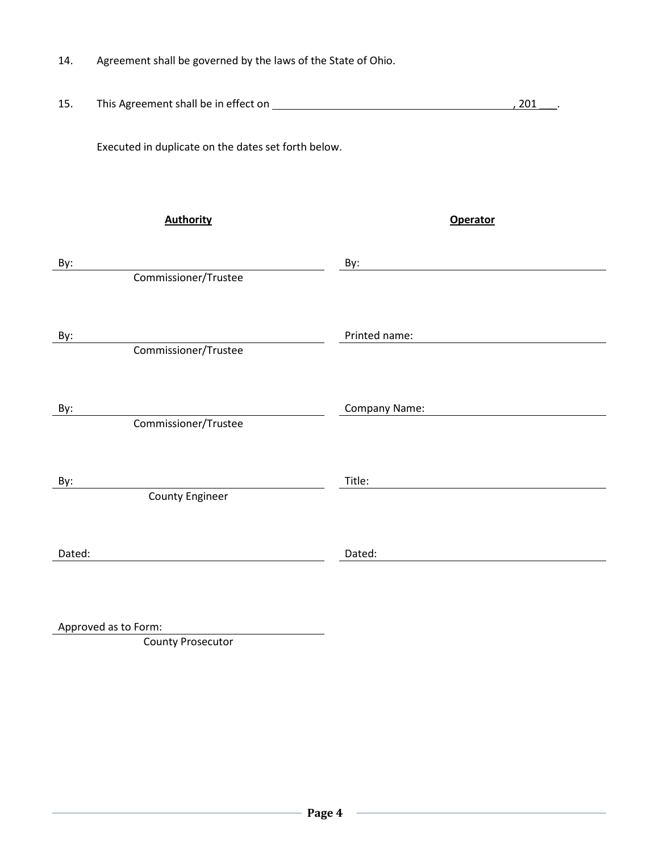| Agreement shall be governed by the laws of the State of Ohio.<br>14. |  |
|----------------------------------------------------------------------|--|
|----------------------------------------------------------------------|--|

| 15.    |                                                     |                 | 201 |
|--------|-----------------------------------------------------|-----------------|-----|
|        | Executed in duplicate on the dates set forth below. |                 |     |
|        | <b>Authority</b>                                    | <b>Operator</b> |     |
| By:    |                                                     | By:             |     |
|        | Commissioner/Trustee                                |                 |     |
| By:    | Commissioner/Trustee                                | Printed name:   |     |
| By:    |                                                     | Company Name:   |     |
|        | Commissioner/Trustee                                |                 |     |
|        |                                                     |                 |     |
| By:    |                                                     | Title:          |     |
|        | <b>County Engineer</b>                              |                 |     |
| Dated: |                                                     | Dated:          |     |
|        |                                                     |                 |     |

Approved as to Form:

County Prosecutor